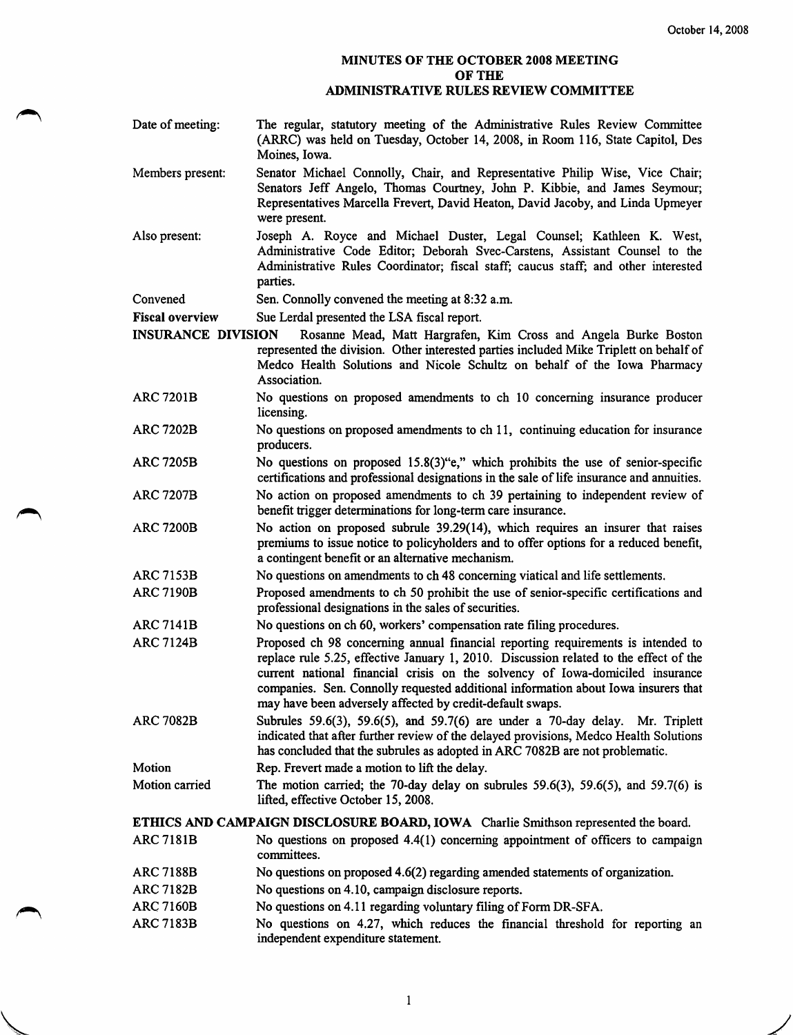## MINUTES OF THE OCTOBER 2008 MEETING OF THE ADMINISTRATIVE RULES REVIEW COMMITTEE

- Members present: Also present: Convened Fiscal overview Date of meeting: The regular, statutory meeting of the Administrative Rules Review Committee (ARRC) was held on Tuesday, October 14, 2008, in Room 116, State Capitol, Des Moines, Iowa. Senator Michael Connolly, Chair, and Representative Philip Wise, Vice Chair; Senators Jeff Angelo, Thomas Courtney, John P. Kibbie, and James Seymour; Representatives Marcella Frevert, David Heaton, David Jacoby, and Linda Upmeyer were present. Joseph A. Royce and Michael Duster, Legal Counsel; Kathleen K. West, Administrative Code Editor; Deborah Svec-Carstens, Assistant Counsel to the Administrative Rules Coordinator; fiscal staff; caucus staff; and other interested parties. Sen. Connolly convened the meeting at 8:32 a.m. Sue Lerdal presented the LSA fiscal report. INSURANCE DIVISION Rosanne Mead, Matt Hargrafen, Kim Cross and Angela Burke Boston represented the division. Other interested parties included Mike Triplett on behalf of Medco Health Solutions and Nicole Schultz on behalf of the Iowa Pharmacy Association. No questions on proposed amendments to ch 10 concerning insurance producer licensing. No questions on proposed amendments to ch 11, continuing education for insurance producers. No questions on proposed 15.8(3)"e," which prohibits the use of senior-specific certifications and professional designations in the sale of life insurance and annuities. No action on proposed amendments to ch 39 pertaining to independent review of benefit trigger determinations for long-term care insurance. No action on proposed subrule 39.29(14), which requires an insurer that raises premiums to issue notice to policyholders and to offer options for a reduced benefit, a contingent benefit or an alternative mechanism. No questions on amendments to ch 48 concerning viatical and life settlements. Proposed amendments to ch 50 prohibit the use of senior-specific certifications and professional designations in the sales of securities. No questions on ch 60, workers' compensation rate filing procedures. Proposed ch 98 concerning annual financial reporting requirements is intended to replace rule 5.25, effective January 1, 2010. Discussion related to the effect of the current national fmancial crisis on the solvency of Iowa-domiciled insurance companies. Sen. Connolly requested additional information about Iowa insurers that may have been adversely affected by credit-default swaps. Subrules 59.6(3), 59.6(5), and 59.7(6) are under a 70-day delay. Mr. Triplett indicated that after further review of the delayed provisions, Medco Health Solutions has concluded that the subrules as adopted in ARC 7082B are not problematic. Rep. Frevert made a motion to lift the delay. The motion carried; the 70-day delay on subrules  $59.6(3)$ ,  $59.6(5)$ , and  $59.7(6)$  is lifted, effective October 15, 2008. ARC 7201B ARC 7202B ARC 7205B ARC 7207B ARC 7200B ARC7153B ARC7190B ARC7141B ARC7124B ARC 7082B Motion Motion carried ETHICS AND CAMPAIGN DISCLOSURE BOARD, IOWA Charlie Smithson represented the board. ARC7181B ARC7188B No questions on proposed 4.4(1) concerning appointment of officers to campaign committees. No questions on proposed 4.6(2) regarding amended statements of organization.
- ARC7182B No questions on 4.10, campaign disclosure reports.
- ARC 7160B No questions on 4.11 regarding voluntary filing of Form DR-SFA.
- ARC 7183B No questions on 4.27, which reduces the financial threshold for reporting an independent expenditure statement.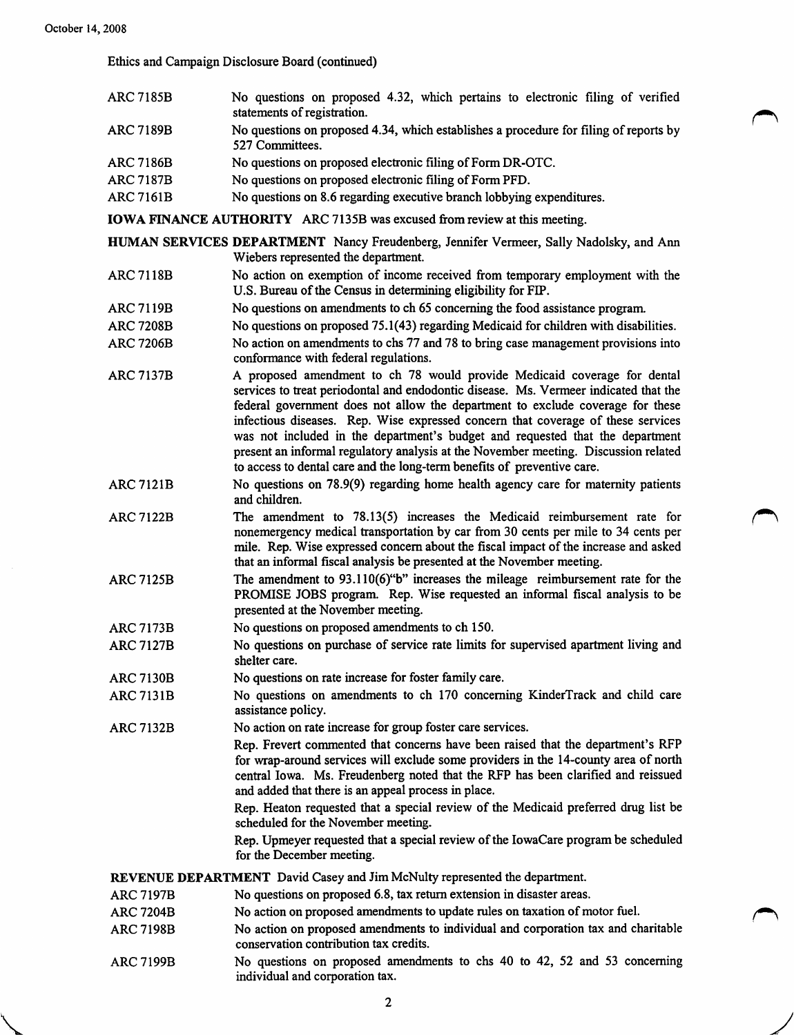Ethics and Campaign Disclosure Board (continued)

- ARC7185B No questions on proposed 4.32, which pertains to electronic filing of verified statements of registration.
- ARC7189B No questions on proposed 4.34, which establishes a procedure for filing of reports by 527 Committees.

rN

- ARC7186B No questions on proposed electronic filing of Form DR-OTC.
- ARC7187B No questions on proposed electronic filing of Form PFD.
- ARC 7161B No questions on 8.6 regarding executive branch lobbying expenditures.

IOWA FINANCE AUTHORITY ARC 7135B was excused from review at this meeting.

HUMAN SERVICES DEPARTMENT Nancy Freudenberg, Jennifer Vermeer, Sally Nadolsky, and Ann Wiebers represented the department.

- ARC7118B No action on exemption of income received from temporary employment with the U.S. Bureau of the Census in determining eligibility for FIP.
- ARC7119B No questions on amendments to ch 65 concerning the food assistance program.
- ARC 7208B No questions on proposed 75.1(43) regarding Medicaid for children with disabilities.
- ARC 7206B No action on amendments to chs 77 and 78 to bring case management provisions into conformance with federal regulations.
- ARC7137B A proposed amendment to ch 78 would provide Medicaid coverage for dental services to treat periodontal and endodontic disease. Ms. Vermeer indicated that the federal government does not allow the department to exclude coverage for these infectious diseases. Rep. Wise expressed concern that coverage of these services was not included in the department's budget and requested that the department present an informal regulatory analysis at the November meeting. Discussion related to access to dental care and the long-term benefits of preventive care.
- No questions on 78.9(9) regarding home health agency care for maternity patients and children. ARC 7121B
- The amendment to 78.13(5) increases the Medicaid reimbursement rate for nonemergency medical transportation by car from 30 cents per mile to 34 cents per mile. Rep. Wise expressed concem about the fiscal impact of the increase and asked that an informal fiscal analysis be presented at the November meeting. ARC7122B
- The amendment to 93.110(6)"b" increases the mileage reimbursement rate for the PROMISE JOBS program. Rep. Wise requested an informal fiscal analysis to be presented at the November meeting. ARC 7125B
- No questions on proposed amendments to ch 150. ARC7173B
- No questions on purchase of service rate limits for supervised apartment living and shelter care. ARC7127B
- No questions on rate increase for foster family care. **ARC 7130B**
- No questions on amendments to ch 170 concerning KinderTrack and child care assistance policy. ARC 713 IB
- No action on rate increase for group foster care services. ARC7132B

Rep. Frevert commented that concerns have been raised that the department's RFP for wrap-around services will exclude some providers in the 14-county area of north central Iowa. Ms. Freudenberg noted that the RFP has been clarified and reissued and added that there is an appeal process in place.

Rep. Heaton requested that a special review of the Medicaid preferred drug list be scheduled for the November meeting.

Rep. Upmeyer requested that a special review of the lowaCare program be scheduled for the December meeting.

REVENUE DEPARTMENT David Casey and Jim McNulty represented the department.

- No questions on proposed 6.8, tax return extension in disaster areas. ARC7197B
- No action on proposed amendments to update mles on taxation of motor fuel. ARC7204B
- No action on proposed amendments to individual and corporation tax and charitable conservation contribution tax credits. ARC7198B
- No questions on proposed amendments to chs 40 to 42, 52 and 53 conceming individual and corporation tax. ARC7199B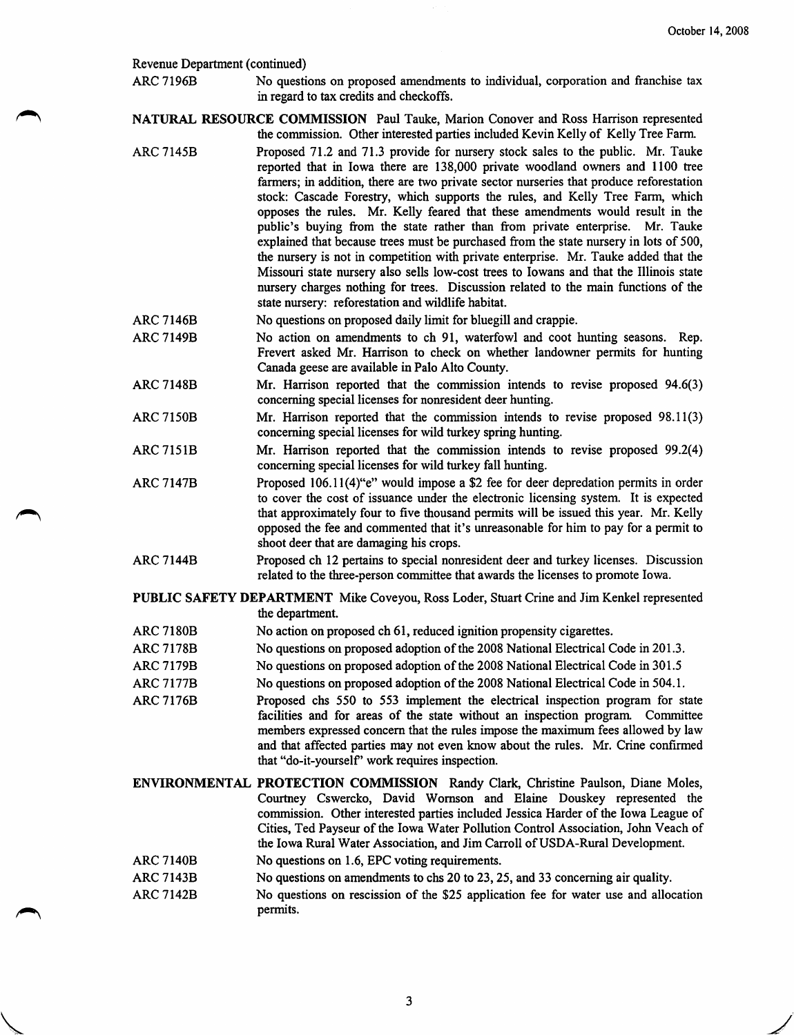## Revenue Department (continued)

ARC 7196B No questions on proposed amendments to individual, corporation and franchise tax in regard to tax credits and checkoffs.

NATURAL RESOURCE COMMISSION Paul Tauke, Marion Conover and Ross Harrison represented the commission. Other interested parties included Kevin Kelly of Kelly Tree Farm.

- ARC 7145B Proposed 71.2 and 71.3 provide for nursery stock sales to the public. Mr. Tauke reported that in Iowa there are 138,000 private woodland owners and 1100 tree farmers; in addition, there are two private sector nurseries that produce reforestation stock: Cascade Forestry, which supports the rules, and Kelly Tree Farm, which opposes the rules. Mr. Kelly feared that these amendments would result in the public's buying from the state rather than from private enterprise. Mr. Tauke explained that because trees must be purchased from the state nursery in lots of 500, the nursery is not in competition with private enterprise. Mr. Tauke added that the Missouri state nursery also sells low-cost trees to lowans and that the Illinois state nursery charges nothing for trees. Discussion related to the main functions of the state nursery: reforestation and wildlife habitat.
- ARC 7146B No questions on proposed daily limit for bluegill and crappie.
- ARC7149B No action on amendments to ch 91, waterfowl and coot hunting seasons. Rep. Frevert asked Mr. Harrison to check on whether landowner permits for hunting Canada geese are available in Palo Alto County.
- ARC 7148B Mr. Harrison reported that the commission intends to revise proposed 94.6(3) concerning special licenses for nonresident deer hunting.
- ARC7150B Mr. Harrison reported that the commission intends to revise proposed 98.11(3) concerning special licenses for wild turkey spring hunting.
- ARC 7151B Mr. Harrison reported that the commission intends to revise proposed 99.2(4) concerning special licenses for wild turkey fall hunting.
- ARC 7147B Proposed 106.1 l(4)"e" would impose a \$2 fee for deer depredation permits in order to cover the cost of issuance under the electronic licensing system. It is expected that approximately four to five thousand permits will be issued this year. Mr. Kelly opposed the fee and commented that it's unreasonable for him to pay for a permit to shoot deer that are damaging his crops.
- ARC 7144B Proposed ch 12 pertains to special nonresident deer and turkey licenses. Discussion related to the three-person committee that awards the licenses to promote Iowa.

PUBLIC SAFETY DEPARTMENT Mike Coveyou, Ross Loder, Stuart Crine and Jim Kenkel represented the department.

- ARC 7180B No action on proposed ch 61, reduced ignition propensity cigarettes.
- ARC 7178B No questions on proposed adoption of the 2008 National Electrical Code in 201.3.
- ARC 7179B No questions on proposed adoption of the 2008 National Electrical Code in 301.5
- ARC 7177B No questions on proposed adoption of the 2008 National Electrical Code in 504.1.
- ARC 7176B Proposed chs 550 to 553 implement the electrical inspection program for state facilities and for areas of the state without an inspection program. Committee members expressed concern that the rules impose the maximum fees allowed by law and that affected parties may not even know about the rules. Mr. Crine confirmed that "do-it-yourself" work requires inspection.
- ENVIRONMENTAL PROTECTION COMMISSION Randy Clark, Christine Paulson, Diane Moles, Courtney Cswercko, David Womson and Elaine Douskey represented the commission. Other interested parties included Jessica Harder of the Iowa League of Cities, Ted Payseur of the Iowa Water Pollution Control Association, John Veach of the Iowa Rural Water Association, and Jim Carroll of USDA-Rural Development.
- ARC 7140B No questions on 1.6, EPC voting requirements.
- ARC 7143B No questions on amendments to chs 20 to 23,25, and 33 concerning air quality.
- ARC 7142B No questions on rescission of the \$25 application fee for water use and allocation permits.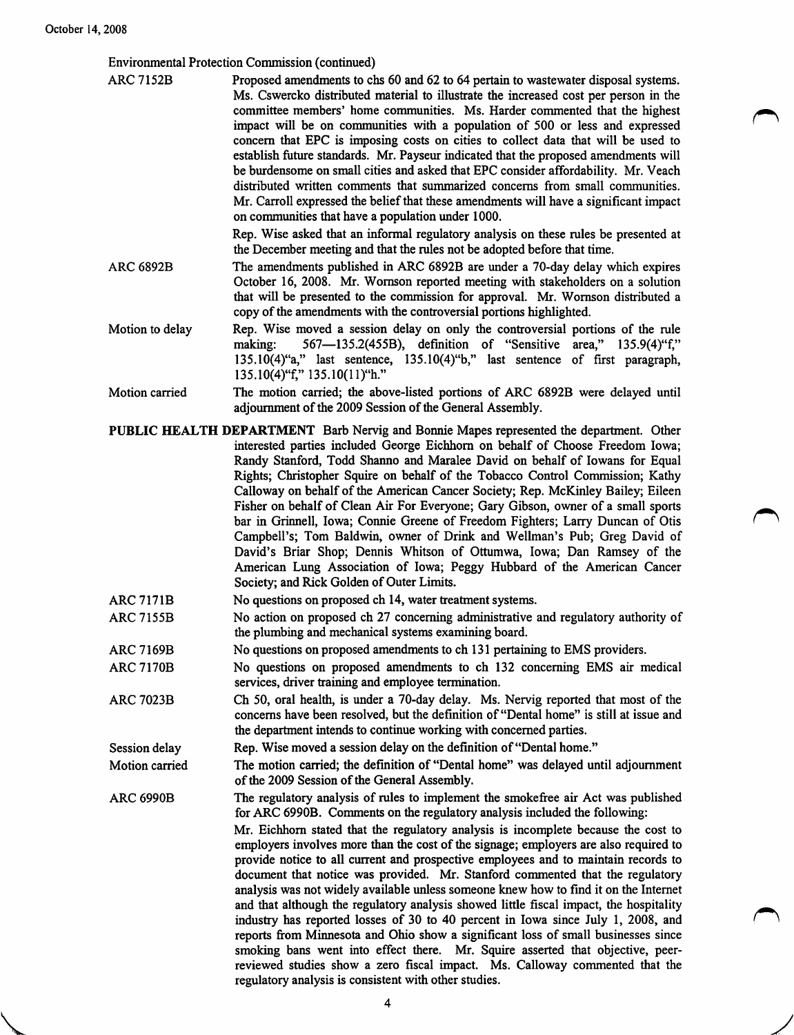**Value 14** 

Environmental Protection Commission (continued)

| ARC 7152B | Proposed amendments to chs 60 and 62 to 64 pertain to wastewater disposal systems.    |
|-----------|---------------------------------------------------------------------------------------|
|           | Ms. Cswercko distributed material to illustrate the increased cost per person in the  |
|           | committee members' home communities. Ms. Harder commented that the highest            |
|           | impact will be on communities with a population of 500 or less and expressed          |
|           | concern that EPC is imposing costs on cities to collect data that will be used to     |
|           | establish future standards. Mr. Payseur indicated that the proposed amendments will   |
|           | be burdensome on small cities and asked that EPC consider affordability. Mr. Veach    |
|           | distributed written comments that summarized concerns from small communities.         |
|           | Mr. Carroll expressed the belief that these amendments will have a significant impact |
|           | on communities that have a population under 1000.                                     |
|           | Rep. Wise asked that an informal regulatory analysis on these rules be presented at   |

- the December meeting and that the rules not be adopted before that time. ARC 6892B The amendments published in ARC 6892B are under a 70-day delay which expires October 16, 2008. Mr. Womson reported meeting with stakeholders on a solution that will be presented to the commission for approval. Mr. Womson distributed a copy of the amendments with the controversial portions highlighted.
- Motion to delay Rep. Wise moved a session delay on only the controversial portions of the rule making: 567—135.2(455B), definition of "Sensitive area," 135.9(4)"f," 135.10(4)"a," last sentence, 135.10(4)"b," last sentence of first paragraph, 135.10(4)"f," 135.10(11)"h."
- Motion carried The motion carried; the above-listed portions of ARC 6892B were delayed until adjournment of the 2009 Session of the General Assembly.
- PUBLIC HEALTH DEPARTMENT Barb Nervig and Bonnie Mapes represented the department. Other interested parties included George Eichhom on behalf of Choose Freedom Iowa; Randy Stanford, Todd Shanno and Maralee David on behalf of lowans for Equal Rights; Christopher Squire on behalf of the Tobacco Control Commission; Kathy Calloway on behalf of the American Cancer Society; Rep. McKinley Bailey; Eileen Fisher on behalf of Clean Air For Everyone; Gary Gibson, owner of a small sports bar in Grinnell, Iowa; Connie Greene of Freedom Fighters; Larry Duncan of Otis Campbell's; Tom Baldwin, owner of Drink and Wellman's Pub; Greg David of David's Briar Shop; Dennis Whitson of Ottumwa, Iowa; Dan Ramsey of the American Lung Association of Iowa; Peggy Hubbard of the American Cancer Society; and Rick Golden of Outer Limits.
- ARC 7171B No questions on proposed ch 14, water treatment systems.
- ARC 7155B No action on proposed ch 27 concerning administrative and regulatory authority of the plumbing and mechanical systems examining board.
- ARC 7169B No questions on proposed amendments to ch 131 pertaining to EMS providers.
- ARC 7170B No questions on proposed amendments to ch 132 concerning EMS air medical services, driver training and employee termination.
- ARC 7023B Ch 50, oral health, is under a 70-day delay. Ms. Nervig reported that most of the concerns have been resolved, but the definition of "Dental home" is still at issue and the department intends to continue working with concerned parties.

Session delay Rep. Wise moved a session delay on the definition of "Dental home."

Motion carried The motion carried; the definition of "Dental home" was delayed until adjournment of the 2009 Session of the General Assembly.

ARC 6990B The regulatory analysis of rules to implement the smokefree air Act was published for ARC 6990B. Comments on the regulatory analysis included the following:

> Mr. Eichhom stated that the regulatory analysis is incomplete because the cost to employers involves more than the cost of the signage; employers are also required to provide notice to all current and prospective employees and to maintain records to document that notice was provided. Mr. Stanford commented that the regulatory analysis was not widely available unless someone knew how to find it on the Internet and that although the regulatory analysis showed little fiscal impact, the hospitality industry has reported losses of 30 to 40 percent in Iowa since July 1, 2008, and reports from Miimesota and Ohio show a significant loss of small businesses since smoking bans went into effect there. Mr. Squire asserted that objective, peerreviewed studies show a zero fiscal impact. Ms. Calloway commented that the regulatory analysis is consistent with other studies.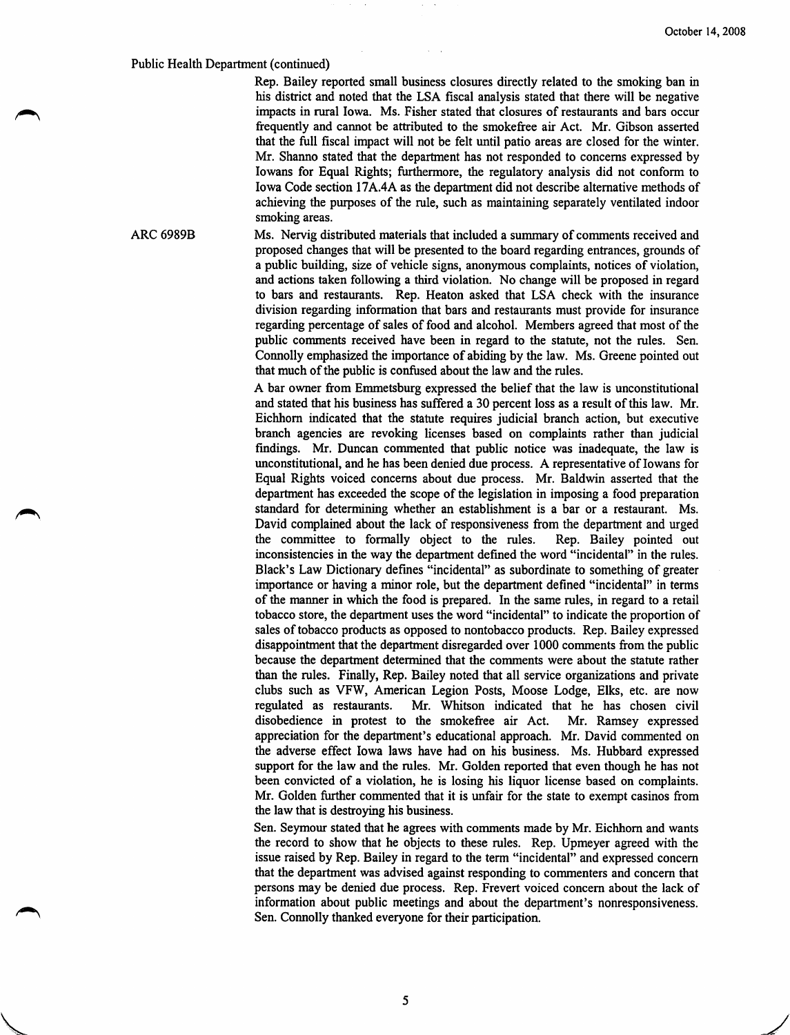## Public Health Department (continued)

Rep. Bailey reported small business closures directly related to the smoking ban in his district and noted that the LSA fiscal analysis stated that there will be negative impacts in rural Iowa. Ms. Fisher stated that closures of restaurants and bars occur frequently and cannot be attributed to the smokefree air Act. Mr. Gibson asserted that the full fiscal impact will not be felt until patio areas are closed for the winter. Mr. Shanno stated that the department has not responded to concerns expressed by lowans for Equal Rights; furthermore, the regulatory analysis did not conform to Iowa Code section 17A.4A as the department did not describe alternative methods of achieving the purposes of the rule, such as maintaining separately ventilated indoor smoking areas.

ARC 6989B Ms. Nervig distributed materials that included a summary of comments received and proposed changes that will be presented to the board regarding entrances, grounds of a public building, size of vehicle signs, anonymous complaints, notices of violation, and actions taken following a third violation. No change will be proposed in regard to bars and restaurants. Rep. Heaton asked that LSA check with the insurance division regarding information that bars and restaurants must provide for insurance regarding percentage of sales of food and alcohol. Members agreed that most of the public comments received have been in regard to the statute, not the rules. Sen. Connolly emphasized the importance of abiding by the law. Ms. Greene pointed out that much of the public is confused about the law and the rules.

> A bar owner from Emmetsburg expressed the belief that the law is unconstitutional and stated that his business has suffered a 30 percent loss as a result of this law. Mr. Eichhom indicated that the statute requires judicial branch action, but executive branch agencies are revoking licenses based on complaints rather than judicial findings. Mr. Duncan commented that public notice was inadequate, the law is unconstitutional, and he has been denied due process. A representative of lowans for Equal Rights voiced concerns about due process. Mr. Baldwin asserted that the department has exceeded the scope of the legislation in imposing a food preparation standard for determining whether an establishment is a bar or a restaurant. Ms. David complained about the lack of responsiveness from the department and urged the committee to formally object to the rules. Rep. Bailey pointed out inconsistencies in the way the department defined the word "incidental" in the rules. Black's Law Dictionary defines "incidental" as subordinate to something of greater importance or having a minor role, but the department defined "incidental" in terms of the manner in which the food is prepared. In the same rules, in regard to a retail tobacco store, the department uses the word "incidental" to indicate the proportion of sales of tobacco products as opposed to nontobacco products. Rep. Bailey expressed disappointment that the department disregarded over 1000 comments firom the public because the department determined that the comments were about the statute rather than the rules. Finally, Rep. Bailey noted that all service organizations and private clubs such as VFW, American Legion Posts, Moose Lodge, Elks, etc. are now regulated as restaurants. Mr. Whitson indicated that he has chosen civil disobedience in protest to the smokefiree air Act. Mr. Ramsey expressed appreciation for the department's educational approach. Mr. David commented on the adverse effect Iowa laws have had on his business. Ms. Hubbard expressed support for the law and the rules. Mr. Golden reported that even though he has not been convicted of a violation, he is losing his liquor license based on complaints. Mr. Golden further commented that it is unfair for the state to exempt casinos from the law that is destroying his business.

> Sen. Seymour stated that he agrees with comments made by Mr. Eichhom and wants the record to show that he objects to these rules. Rep. Upmeyer agreed with the issue raised by Rep. Bailey in regard to the term "incidental" and expressed concern that the department was advised against responding to commenters and concem that persons may be denied due process. Rep. Frevert voiced concem about the lack of information about public meetings and about the department's nonresponsiveness. Sen. Connolly thanked everyone for their participation.

> > 5